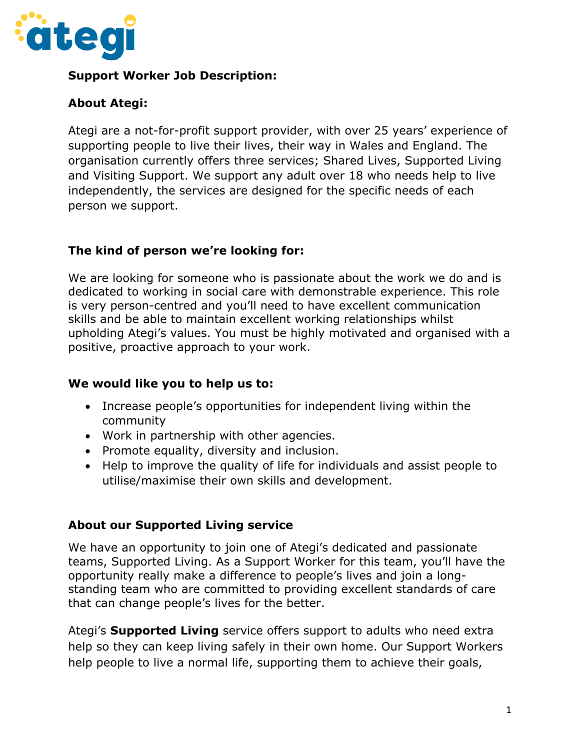

## **Support Worker Job Description:**

## **About Ategi:**

Ategi are a not-for-profit support provider, with over 25 years' experience of supporting people to live their lives, their way in Wales and England. The organisation currently offers three services; Shared Lives, Supported Living and Visiting Support. We support any adult over 18 who needs help to live independently, the services are designed for the specific needs of each person we support.

## **The kind of person we're looking for:**

We are looking for someone who is passionate about the work we do and is dedicated to working in social care with demonstrable experience. This role is very person-centred and you'll need to have excellent communication skills and be able to maintain excellent working relationships whilst upholding Ategi's values. You must be highly motivated and organised with a positive, proactive approach to your work.

#### **We would like you to help us to:**

- Increase people's opportunities for independent living within the community
- Work in partnership with other agencies.
- Promote equality, diversity and inclusion.
- Help to improve the quality of life for individuals and assist people to utilise/maximise their own skills and development.

#### **About our Supported Living service**

We have an opportunity to join one of Ategi's dedicated and passionate teams, Supported Living. As a Support Worker for this team, you'll have the opportunity really make a difference to people's lives and join a longstanding team who are committed to providing excellent standards of care that can change people's lives for the better.

Ategi's **Supported Living** service offers support to adults who need extra help so they can keep living safely in their own home. Our Support Workers help people to live a normal life, supporting them to achieve their goals,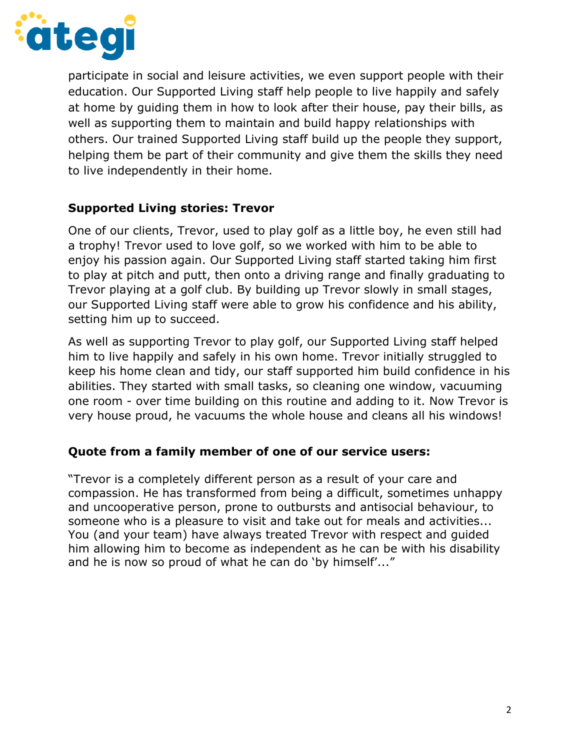

participate in social and leisure activities, we even support people with their education. Our Supported Living staff help people to live happily and safely at home by guiding them in how to look after their house, pay their bills, as well as supporting them to maintain and build happy relationships with others. Our trained Supported Living staff build up the people they support, helping them be part of their community and give them the skills they need to live independently in their home.

## **Supported Living stories: Trevor**

One of our clients, Trevor, used to play golf as a little boy, he even still had a trophy! Trevor used to love golf, so we worked with him to be able to enjoy his passion again. Our Supported Living staff started taking him first to play at pitch and putt, then onto a driving range and finally graduating to Trevor playing at a golf club. By building up Trevor slowly in small stages, our Supported Living staff were able to grow his confidence and his ability, setting him up to succeed.

As well as supporting Trevor to play golf, our Supported Living staff helped him to live happily and safely in his own home. Trevor initially struggled to keep his home clean and tidy, our staff supported him build confidence in his abilities. They started with small tasks, so cleaning one window, vacuuming one room - over time building on this routine and adding to it. Now Trevor is very house proud, he vacuums the whole house and cleans all his windows!

#### **Quote from a family member of one of our service users:**

"Trevor is a completely different person as a result of your care and compassion. He has transformed from being a difficult, sometimes unhappy and uncooperative person, prone to outbursts and antisocial behaviour, to someone who is a pleasure to visit and take out for meals and activities... You (and your team) have always treated Trevor with respect and guided him allowing him to become as independent as he can be with his disability and he is now so proud of what he can do 'by himself'..."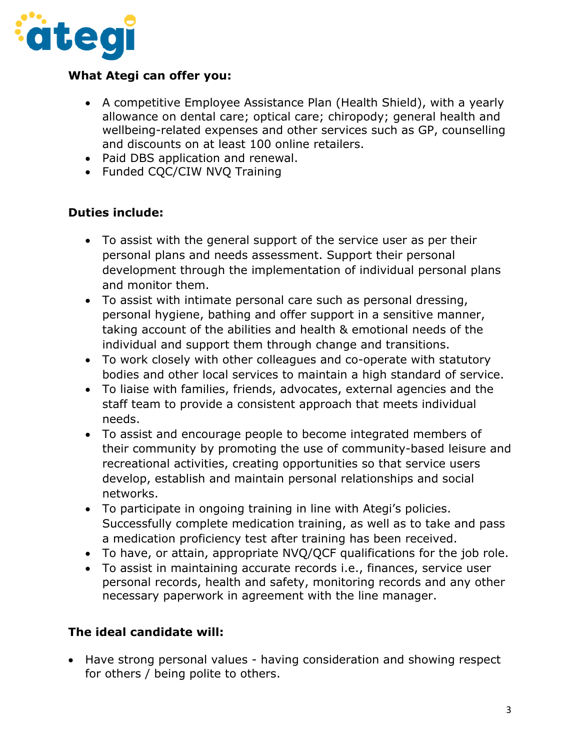

## **What Ategi can offer you:**

- A competitive Employee Assistance Plan (Health Shield), with a yearly allowance on dental care; optical care; chiropody; general health and wellbeing-related expenses and other services such as GP, counselling and discounts on at least 100 online retailers.
- Paid DBS application and renewal.
- Funded CQC/CIW NVQ Training

## **Duties include:**

- To assist with the general support of the service user as per their personal plans and needs assessment. Support their personal development through the implementation of individual personal plans and monitor them.
- To assist with intimate personal care such as personal dressing, personal hygiene, bathing and offer support in a sensitive manner, taking account of the abilities and health & emotional needs of the individual and support them through change and transitions.
- To work closely with other colleagues and co-operate with statutory bodies and other local services to maintain a high standard of service.
- To liaise with families, friends, advocates, external agencies and the staff team to provide a consistent approach that meets individual needs.
- To assist and encourage people to become integrated members of their community by promoting the use of community-based leisure and recreational activities, creating opportunities so that service users develop, establish and maintain personal relationships and social networks.
- To participate in ongoing training in line with Ategi's policies. Successfully complete medication training, as well as to take and pass a medication proficiency test after training has been received.
- To have, or attain, appropriate NVQ/QCF qualifications for the job role.
- To assist in maintaining accurate records i.e., finances, service user personal records, health and safety, monitoring records and any other necessary paperwork in agreement with the line manager.

## **The ideal candidate will:**

• Have strong personal values - having consideration and showing respect for others / being polite to others.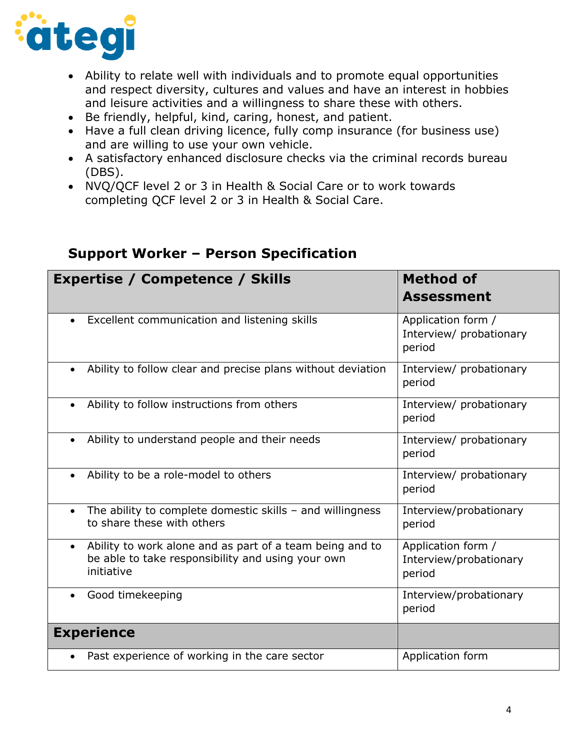

- Ability to relate well with individuals and to promote equal opportunities and respect diversity, cultures and values and have an interest in hobbies and leisure activities and a willingness to share these with others.
- Be friendly, helpful, kind, caring, honest, and patient.
- Have a full clean driving licence, fully comp insurance (for business use) and are willing to use your own vehicle.
- A satisfactory enhanced disclosure checks via the criminal records bureau (DBS).
- NVQ/QCF level 2 or 3 in Health & Social Care or to work towards completing QCF level 2 or 3 in Health & Social Care.

|                   | <b>Expertise / Competence / Skills</b>                                                                                      | <b>Method of</b>                                        |
|-------------------|-----------------------------------------------------------------------------------------------------------------------------|---------------------------------------------------------|
|                   |                                                                                                                             | <b>Assessment</b>                                       |
|                   | Excellent communication and listening skills                                                                                | Application form /<br>Interview/ probationary<br>period |
|                   | Ability to follow clear and precise plans without deviation                                                                 | Interview/ probationary<br>period                       |
|                   | Ability to follow instructions from others                                                                                  | Interview/ probationary<br>period                       |
| $\bullet$         | Ability to understand people and their needs                                                                                | Interview/ probationary<br>period                       |
|                   | Ability to be a role-model to others                                                                                        | Interview/ probationary<br>period                       |
|                   | The ability to complete domestic skills $-$ and willingness<br>to share these with others                                   | Interview/probationary<br>period                        |
|                   | Ability to work alone and as part of a team being and to<br>be able to take responsibility and using your own<br>initiative | Application form /<br>Interview/probationary<br>period  |
|                   | Good timekeeping                                                                                                            | Interview/probationary<br>period                        |
| <b>Experience</b> |                                                                                                                             |                                                         |
|                   | Past experience of working in the care sector                                                                               | Application form                                        |

# **Support Worker – Person Specification**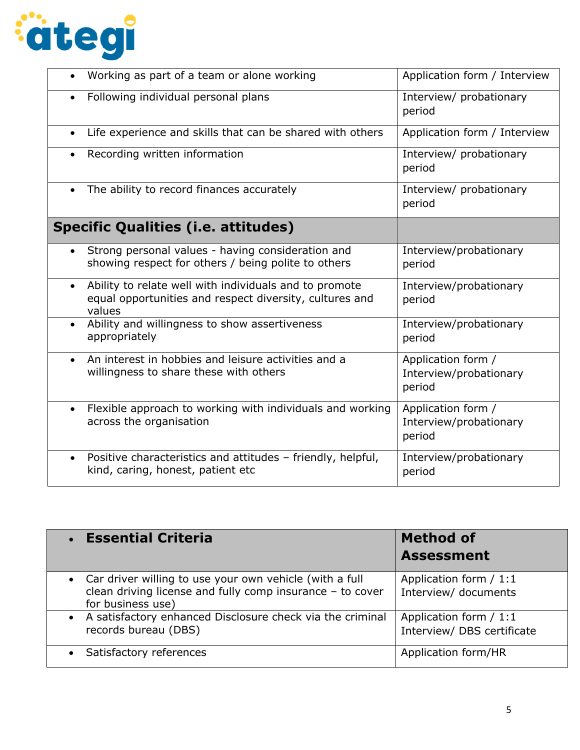

| Working as part of a team or alone working                                                                                               | Application form / Interview                           |
|------------------------------------------------------------------------------------------------------------------------------------------|--------------------------------------------------------|
| Following individual personal plans                                                                                                      | Interview/ probationary<br>period                      |
| Life experience and skills that can be shared with others<br>$\bullet$                                                                   | Application form / Interview                           |
| Recording written information                                                                                                            | Interview/ probationary<br>period                      |
| The ability to record finances accurately<br>$\bullet$                                                                                   | Interview/ probationary<br>period                      |
| <b>Specific Qualities (i.e. attitudes)</b>                                                                                               |                                                        |
| Strong personal values - having consideration and<br>showing respect for others / being polite to others                                 | Interview/probationary<br>period                       |
| Ability to relate well with individuals and to promote<br>$\bullet$<br>equal opportunities and respect diversity, cultures and<br>values | Interview/probationary<br>period                       |
| Ability and willingness to show assertiveness<br>$\bullet$<br>appropriately                                                              | Interview/probationary<br>period                       |
| An interest in hobbies and leisure activities and a<br>$\bullet$<br>willingness to share these with others                               | Application form /<br>Interview/probationary<br>period |
| Flexible approach to working with individuals and working<br>$\bullet$<br>across the organisation                                        | Application form /<br>Interview/probationary<br>period |
| Positive characteristics and attitudes - friendly, helpful,<br>$\bullet$<br>kind, caring, honest, patient etc                            | Interview/probationary<br>period                       |

| • Essential Criteria                                                                                                                        | <b>Method of</b><br><b>Assessment</b>                |
|---------------------------------------------------------------------------------------------------------------------------------------------|------------------------------------------------------|
| • Car driver willing to use your own vehicle (with a full<br>clean driving license and fully comp insurance - to cover<br>for business use) | Application form / 1:1<br>Interview/ documents       |
| • A satisfactory enhanced Disclosure check via the criminal<br>records bureau (DBS)                                                         | Application form / 1:1<br>Interview/ DBS certificate |
| Satisfactory references<br>$\bullet$                                                                                                        | Application form/HR                                  |